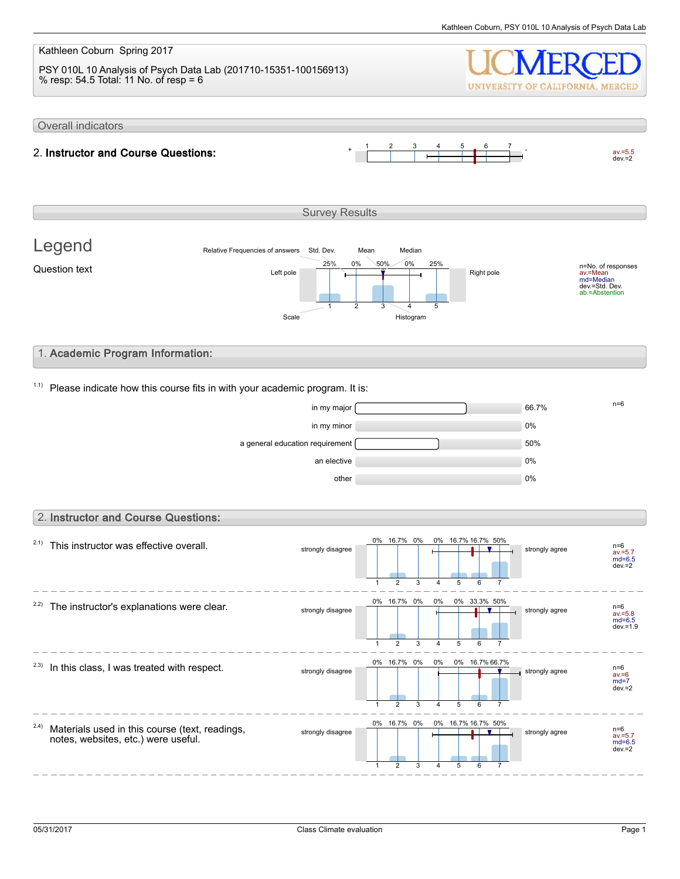#### Kathleen Coburn Spring 2017 PSY 010L 10 Analysis of Psych Data Lab (201710-15351-100156913) % resp: 54.5 Total: 11 No. of resp = 6 UNIVERSITY OF CALIFORNIA, MERCED Overall indicators 1 2 3 4 5 6 7 2. Instructor and Course Questions:  $av.=5.5$ <br>dev.=2 Survey Results Legend Relative Frequencies of answers Std. Dev. Mean Median 0% 0% 50% 25% 25% n=No. of responses av.=Mean md=Median dev.=Std. Dev. ab.=Abstention Question text  $L$  and  $L$  the  $\frac{L}{L}$  and  $\frac{L}{L}$  and  $\frac{L}{L}$  Right pole 1 2 3 4 5 Scale Histogram 1. Academic Program Information:  $1.1$ ) Please indicate how this course fits in with your academic program. It is:  $\frac{1}{2}$  in my major  $\frac{1}{2}$  in my major  $\frac{1}{2}$  in my major  $\frac{1}{2}$  in  $\frac{1}{2}$  in  $\frac{1}{2}$  in  $\frac{1}{2}$  in  $\frac{1}{2}$  in  $\frac{1}{2}$  in  $\frac{1}{2}$  in  $\frac{1}{2}$  in  $\frac{1}{2}$  in  $\frac{1}{2}$  in  $\frac{1}{2}$  in  $\frac{1}{2}$  in in my minor and the contract of the contract of the contract of the contract of the contract of the contract of the contract of the contract of the contract of the contract of the contract of the contract of the contract o a general education requirement  $\sim$  50% an elective and the contract of the contract of the contract of the contract of the contract of the contract of the contract of the contract of the contract of the contract of the contract of the contract of the contract o other  $0\%$ 2. Instructor and Course Questions: 0% 16.7% 0% 0% 16.7% 16.7% 50%  $2.1)$  This instructor was effective overall. strongly disagree strongly agree n=6 av.=5.7 md=6.5 dev.=2  $\overline{2}$ 3 5 1 4 6 7 0% 0% 16.7% 0% 0% 33.3% 50%  $2.2$ ) The instructor's explanations were clear. strongly disagree strongly disagree av.=5.8 md=6.5 dev.=1.9 1  $\mathfrak{p}$ 3 4 5  $\overline{6}$ 7 16.7% 0% 0% 0% 0% 16.7% 66.7%  $2.3)$  In this class, I was treated with respect. strongly disagree strongly agree av.=6 md=7  $\frac{1}{2}$ dev $\frac{1}{2}$ 1 2 3 4 5 6 7 0% 0% 16.7% 0% 16.7% 16.7% 50% 2.4) Materials used in this course (text, readings, strongly disagree **now the strongly disagree** strongly agree notes, websites, etc.) were useful. av.=5.7 md=6.5 dev.=2 1 2 3 5 6 4 7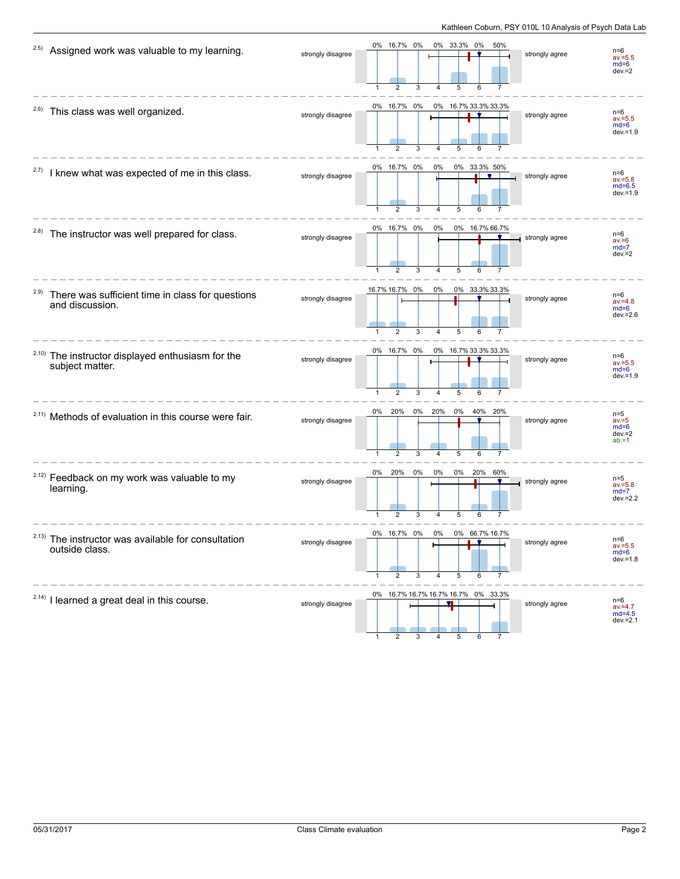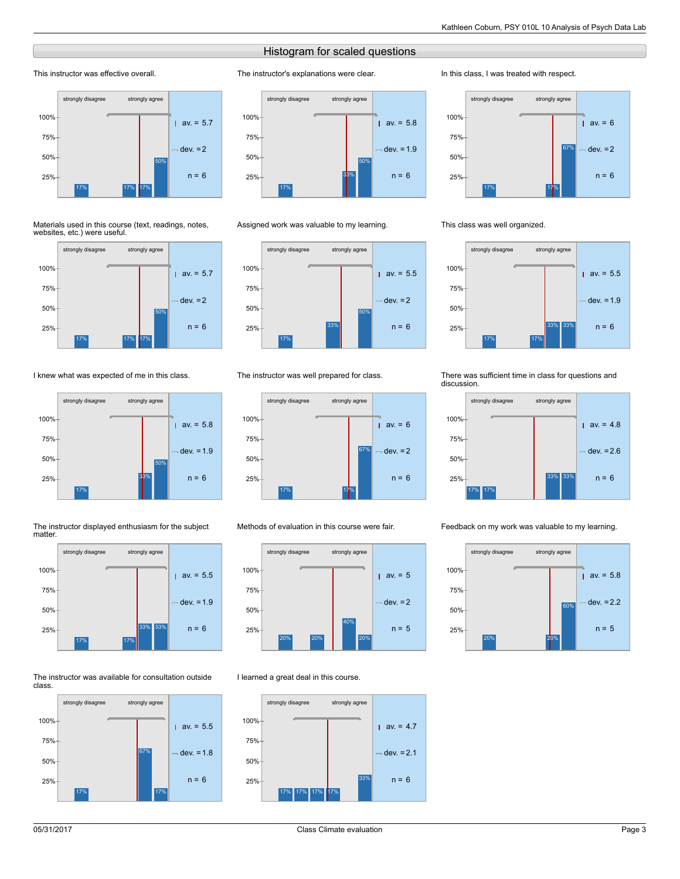# Histogram for scaled questions

The instructor's explanations were clear.

### This instructor was effective overall.



#### Materials used in this course (text, readings, notes, websites, etc.) were useful.



## I knew what was expected of me in this class.



#### The instructor displayed enthusiasm for the subject matter.



#### The instructor was available for consultation outside class.





#### Assigned work was valuable to my learning.



### The instructor was well prepared for class.



#### Methods of evaluation in this course were fair.



#### I learned a great deal in this course.



#### In this class, I was treated with respect.



#### This class was well organized.



#### There was sufficient time in class for questions and discussion.



#### Feedback on my work was valuable to my learning.

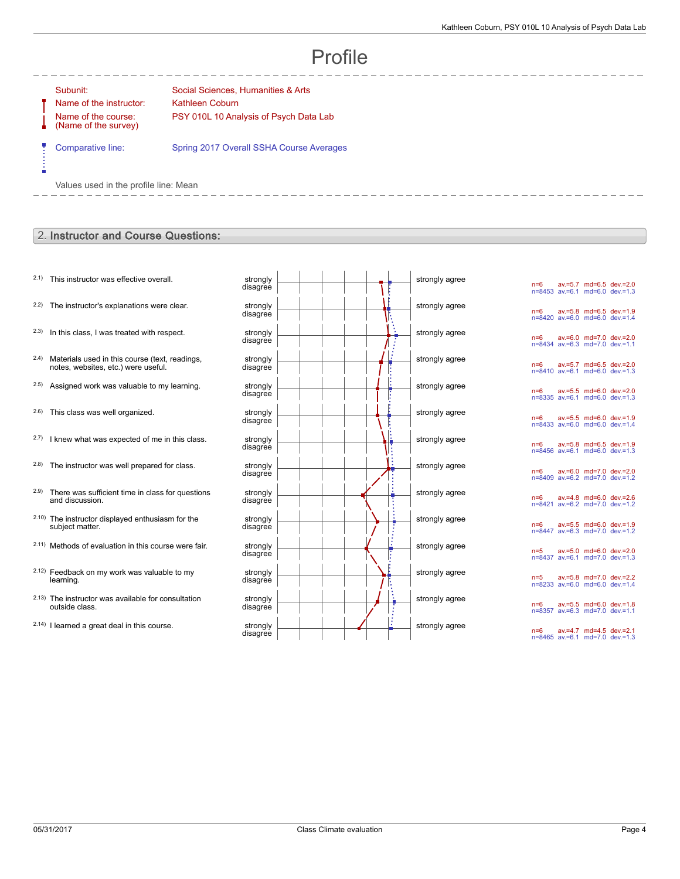# Profile

----------

Ė

Name of the instructor: Kathleen Coburn Name of the course: (Name of the survey)

Subunit: Social Sciences, Humanities & Arts PSY 010L 10 Analysis of Psych Data Lab

Comparative line: Spring 2017 Overall SSHA Course Averages

Values used in the profile line: Mean

# 2. Instructor and Course Questions:

- $2.1$ ) This instructor was effective overall.
- $2.2$ ) The instructor's explanations were clear.
- $2.3$  In this class, I was treated with respect.
- 2.4) Materials used in this course (text, readings, notes, websites, etc.) were useful.
- $2.5$ ) Assigned work was valuable to my learning.
- $2.6$ ) This class was well organized.
- $2.7)$  I knew what was expected of me in this class.
- $2.8$ ) The instructor was well prepared for class.
- 2.9) There was sufficient time in class for questions and discussion.
- 2.10) The instructor displayed enthusiasm for the subject matter.
- 2.11) Methods of evaluation in this course were fair.
- 2.12) Feedback on my work was valuable to my learning.
- 2.13) The instructor was available for consultation outside class.
- $2.14$ ) I learned a great deal in this course.

| strongly<br>disagree |  | strongly agree |
|----------------------|--|----------------|
| strongly<br>disagree |  | strongly agree |
| strongly<br>disagree |  | strongly agree |
| strongly<br>disagree |  | strongly agree |
| strongly<br>disagree |  | strongly agree |
| strongly<br>disagree |  | strongly agree |
| strongly<br>disagree |  | strongly agree |
| strongly<br>disagree |  | strongly agree |
| strongly<br>disagree |  | strongly agree |
| strongly<br>disagree |  | strongly agree |
| strongly<br>disagree |  | strongly agree |
| strongly<br>disagree |  | strongly agree |
| strongly<br>disagree |  | strongly agree |
| strongly<br>disagree |  | strongly agree |

n=6 av.=5.7 md=6.5 dev.=2.0 n=8453 av.=6.1 md=6.0 dev.=1.3 n=6 av.=5.8 md=6.5 dev.=1.9 n=8420 av.=6.0 md=6.0 dev.=1.4 n=6 av.=6.0 md=7.0 dev.=2.0 n=8434 av.=6.3 md=7.0 dev.=1.1 n=6 av.=5.7 md=6.5 dev.=2.0 n=8410 av.=6.1 md=6.0 dev.=1.3 n=6 av.=5.5 md=6.0 dev.=2.0 n=8335 av.=6.1 md=6.0 dev.=1.3 n=6 av.=5.5 md=6.0 dev.=1.9 n=8433 av.=6.0 md=6.0 dev.=1.4 n=6 av.=5.8 md=6.5 dev.=1.9 n=8456 av.=6.1 md=6.0 dev.=1.3 n=6 av.=6.0 md=7.0 dev.=2.0 n=8409 av.=6.2 md=7.0 dev.=1.2 n=6 av.=4.8 md=6.0 dev.=2.6 n=8421 av.=6.2 md=7.0 dev.=1.2 n=6 av.=5.5 md=6.0 dev.=1.9 n=8447 av.=6.3 md=7.0 dev.=1.2 n=5 av.=5.0 md=6.0 dev.=2.0 n=8437 av.=6.1 md=7.0 dev.=1.3 n=5 av.=5.8 md=7.0 dev.=2.2 n=8233 av.=6.0 md=6.0 dev.=1.4 n=6 av.=5.5 md=6.0 dev.=1.8 n=8357 av.=6.3 md=7.0 dev.=1.1 n=6 av.=4.7 md=4.5 dev.=2.1 n=8465 av.=6.1 md=7.0 dev.=1.3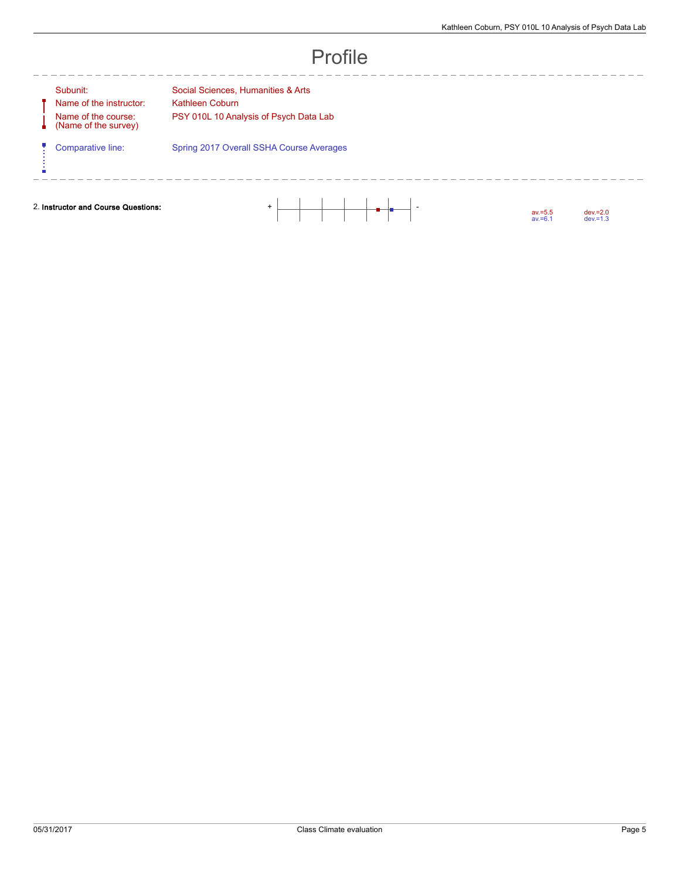A Ų

ń

Name of the instructor: Kathleen Coburn Name of the course: (Name of the survey)

--------

Subunit: Social Sciences, Humanities & Arts PSY 010L 10 Analysis of Psych Data Lab

Comparative line: Spring 2017 Overall SSHA Course Averages